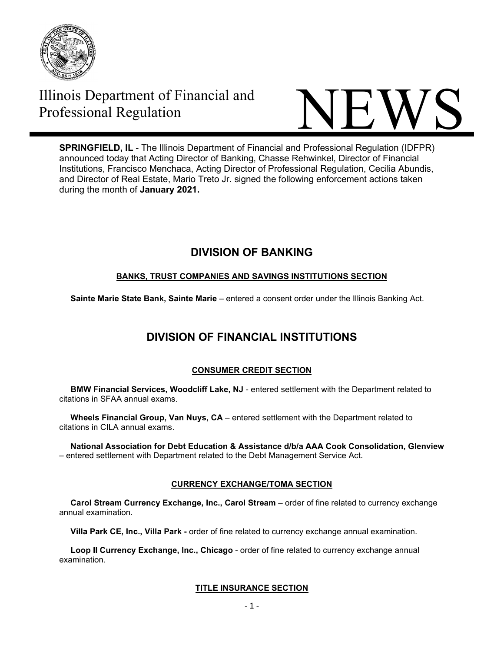



**SPRINGFIELD, IL** - The Illinois Department of Financial and Professional Regulation (IDFPR) announced today that Acting Director of Banking, Chasse Rehwinkel, Director of Financial Institutions, Francisco Menchaca, Acting Director of Professional Regulation, Cecilia Abundis, and Director of Real Estate, Mario Treto Jr. signed the following enforcement actions taken during the month of **January 2021.**

# **DIVISION OF BANKING**

### **BANKS, TRUST COMPANIES AND SAVINGS INSTITUTIONS SECTION**

 **Sainte Marie State Bank, Sainte Marie** – entered a consent order under the Illinois Banking Act.

# **DIVISION OF FINANCIAL INSTITUTIONS**

### **CONSUMER CREDIT SECTION**

 **BMW Financial Services, Woodcliff Lake, NJ** - entered settlement with the Department related to citations in SFAA annual exams.

 **Wheels Financial Group, Van Nuys, CA** – entered settlement with the Department related to citations in CILA annual exams.

 **National Association for Debt Education & Assistance d/b/a AAA Cook Consolidation, Glenview** – entered settlement with Department related to the Debt Management Service Act.

### **CURRENCY EXCHANGE/TOMA SECTION**

 **Carol Stream Currency Exchange, Inc., Carol Stream** – order of fine related to currency exchange annual examination.

 **Villa Park CE, Inc., Villa Park -** order of fine related to currency exchange annual examination.

 **Loop II Currency Exchange, Inc., Chicago** - order of fine related to currency exchange annual examination.

### **TITLE INSURANCE SECTION**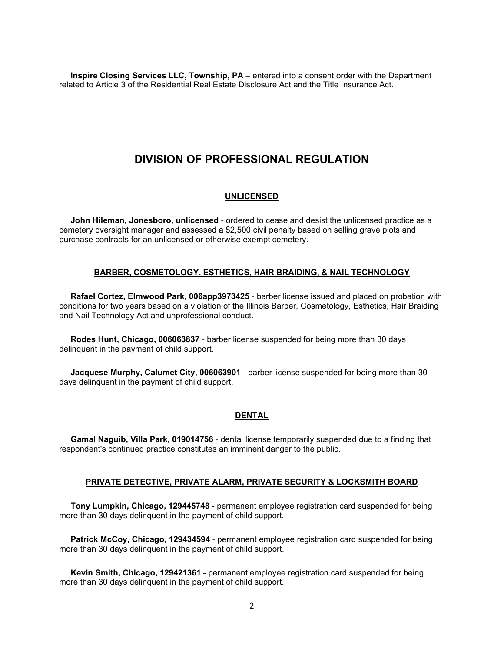**Inspire Closing Services LLC, Township, PA** – entered into a consent order with the Department related to Article 3 of the Residential Real Estate Disclosure Act and the Title Insurance Act.

## **DIVISION OF PROFESSIONAL REGULATION**

### **UNLICENSED**

 **John Hileman, Jonesboro, unlicensed** - ordered to cease and desist the unlicensed practice as a cemetery oversight manager and assessed a \$2,500 civil penalty based on selling grave plots and purchase contracts for an unlicensed or otherwise exempt cemetery.

#### **BARBER, COSMETOLOGY. ESTHETICS, HAIR BRAIDING, & NAIL TECHNOLOGY**

 **Rafael Cortez, Elmwood Park, 006app3973425** - barber license issued and placed on probation with conditions for two years based on a violation of the Illinois Barber, Cosmetology, Esthetics, Hair Braiding and Nail Technology Act and unprofessional conduct.

 **Rodes Hunt, Chicago, 006063837** - barber license suspended for being more than 30 days delinquent in the payment of child support.

 **Jacquese Murphy, Calumet City, 006063901** - barber license suspended for being more than 30 days delinquent in the payment of child support.

### **DENTAL**

 **Gamal Naguib, Villa Park, 019014756** - dental license temporarily suspended due to a finding that respondent's continued practice constitutes an imminent danger to the public.

#### **PRIVATE DETECTIVE, PRIVATE ALARM, PRIVATE SECURITY & LOCKSMITH BOARD**

 **Tony Lumpkin, Chicago, 129445748** - permanent employee registration card suspended for being more than 30 days delinquent in the payment of child support.

 **Patrick McCoy, Chicago, 129434594** - permanent employee registration card suspended for being more than 30 days delinquent in the payment of child support.

 **Kevin Smith, Chicago, 129421361** - permanent employee registration card suspended for being more than 30 days delinquent in the payment of child support.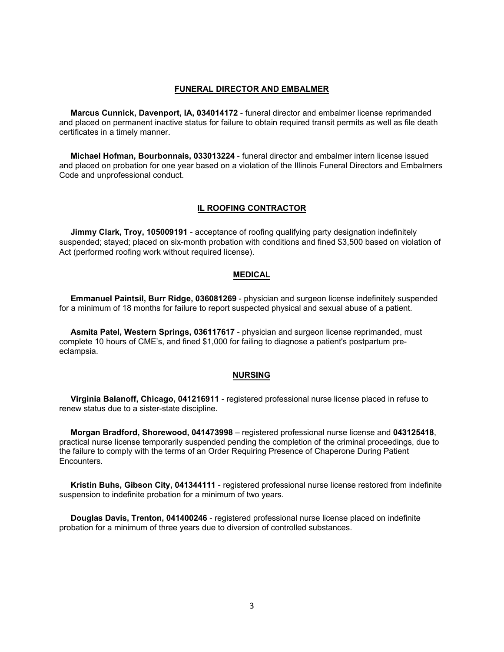#### **FUNERAL DIRECTOR AND EMBALMER**

 **Marcus Cunnick, Davenport, IA, 034014172** - funeral director and embalmer license reprimanded and placed on permanent inactive status for failure to obtain required transit permits as well as file death certificates in a timely manner.

 **Michael Hofman, Bourbonnais, 033013224** - funeral director and embalmer intern license issued and placed on probation for one year based on a violation of the Illinois Funeral Directors and Embalmers Code and unprofessional conduct.

#### **IL ROOFING CONTRACTOR**

 **Jimmy Clark, Troy, 105009191** - acceptance of roofing qualifying party designation indefinitely suspended; stayed; placed on six-month probation with conditions and fined \$3,500 based on violation of Act (performed roofing work without required license).

#### **MEDICAL**

 **Emmanuel Paintsil, Burr Ridge, 036081269** - physician and surgeon license indefinitely suspended for a minimum of 18 months for failure to report suspected physical and sexual abuse of a patient.

 **Asmita Patel, Western Springs, 036117617** - physician and surgeon license reprimanded, must complete 10 hours of CME's, and fined \$1,000 for failing to diagnose a patient's postpartum preeclampsia.

#### **NURSING**

 **Virginia Balanoff, Chicago, 041216911** - registered professional nurse license placed in refuse to renew status due to a sister-state discipline.

 **Morgan Bradford, Shorewood, 041473998** – registered professional nurse license and **043125418**, practical nurse license temporarily suspended pending the completion of the criminal proceedings, due to the failure to comply with the terms of an Order Requiring Presence of Chaperone During Patient Encounters.

 **Kristin Buhs, Gibson City, 041344111** - registered professional nurse license restored from indefinite suspension to indefinite probation for a minimum of two years.

 **Douglas Davis, Trenton, 041400246** - registered professional nurse license placed on indefinite probation for a minimum of three years due to diversion of controlled substances.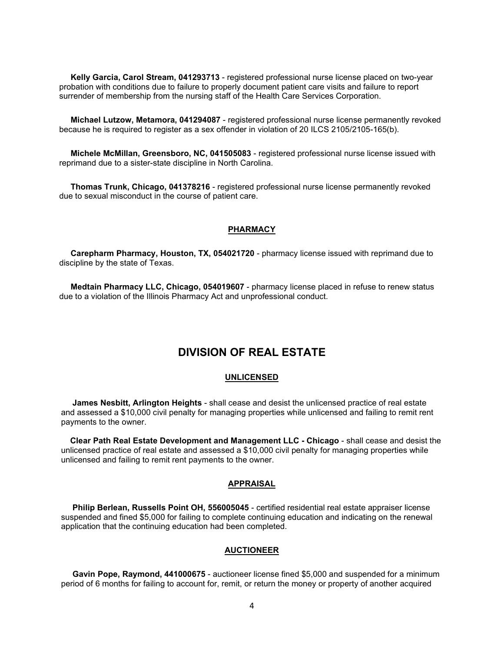**Kelly Garcia, Carol Stream, 041293713** - registered professional nurse license placed on two-year probation with conditions due to failure to properly document patient care visits and failure to report surrender of membership from the nursing staff of the Health Care Services Corporation.

 **Michael Lutzow, Metamora, 041294087** - registered professional nurse license permanently revoked because he is required to register as a sex offender in violation of 20 ILCS 2105/2105-165(b).

 **Michele McMillan, Greensboro, NC, 041505083** - registered professional nurse license issued with reprimand due to a sister-state discipline in North Carolina.

 **Thomas Trunk, Chicago, 041378216** - registered professional nurse license permanently revoked due to sexual misconduct in the course of patient care.

#### **PHARMACY**

 **Carepharm Pharmacy, Houston, TX, 054021720** - pharmacy license issued with reprimand due to discipline by the state of Texas.

 **Medtain Pharmacy LLC, Chicago, 054019607** - pharmacy license placed in refuse to renew status due to a violation of the Illinois Pharmacy Act and unprofessional conduct.

### **DIVISION OF REAL ESTATE**

#### **UNLICENSED**

 **James Nesbitt, Arlington Heights** - shall cease and desist the unlicensed practice of real estate and assessed a \$10,000 civil penalty for managing properties while unlicensed and failing to remit rent payments to the owner.

 **Clear Path Real Estate Development and Management LLC - Chicago** - shall cease and desist the unlicensed practice of real estate and assessed a \$10,000 civil penalty for managing properties while unlicensed and failing to remit rent payments to the owner.

#### **APPRAISAL**

 **Philip Berlean, Russells Point OH, 556005045** - certified residential real estate appraiser license suspended and fined \$5,000 for failing to complete continuing education and indicating on the renewal application that the continuing education had been completed.

#### **AUCTIONEER**

 **Gavin Pope, Raymond, 441000675** - auctioneer license fined \$5,000 and suspended for a minimum period of 6 months for failing to account for, remit, or return the money or property of another acquired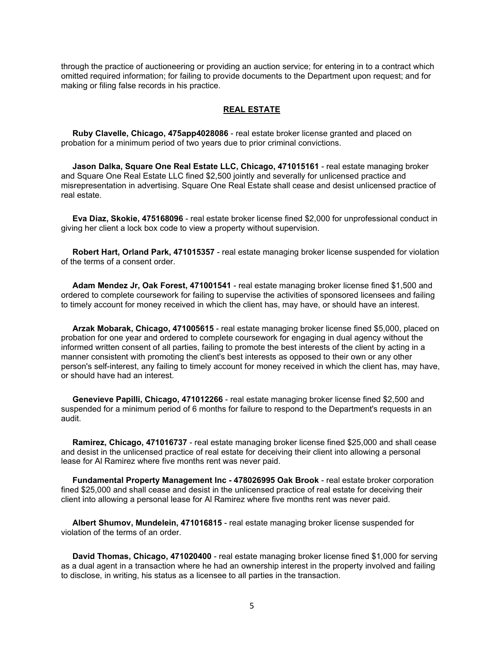through the practice of auctioneering or providing an auction service; for entering in to a contract which omitted required information; for failing to provide documents to the Department upon request; and for making or filing false records in his practice.

### **REAL ESTATE**

 **Ruby Clavelle, Chicago, 475app4028086** - real estate broker license granted and placed on probation for a minimum period of two years due to prior criminal convictions.

 **Jason Dalka, Square One Real Estate LLC, Chicago, 471015161** - real estate managing broker and Square One Real Estate LLC fined \$2,500 jointly and severally for unlicensed practice and misrepresentation in advertising. Square One Real Estate shall cease and desist unlicensed practice of real estate.

 **Eva Diaz, Skokie, 475168096** - real estate broker license fined \$2,000 for unprofessional conduct in giving her client a lock box code to view a property without supervision.

 **Robert Hart, Orland Park, 471015357** - real estate managing broker license suspended for violation of the terms of a consent order.

 **Adam Mendez Jr, Oak Forest, 471001541** - real estate managing broker license fined \$1,500 and ordered to complete coursework for failing to supervise the activities of sponsored licensees and failing to timely account for money received in which the client has, may have, or should have an interest.

 **Arzak Mobarak, Chicago, 471005615** - real estate managing broker license fined \$5,000, placed on probation for one year and ordered to complete coursework for engaging in dual agency without the informed written consent of all parties, failing to promote the best interests of the client by acting in a manner consistent with promoting the client's best interests as opposed to their own or any other person's self-interest, any failing to timely account for money received in which the client has, may have, or should have had an interest.

 **Genevieve Papilli, Chicago, 471012266** - real estate managing broker license fined \$2,500 and suspended for a minimum period of 6 months for failure to respond to the Department's requests in an audit.

 **Ramirez, Chicago, 471016737** - real estate managing broker license fined \$25,000 and shall cease and desist in the unlicensed practice of real estate for deceiving their client into allowing a personal lease for Al Ramirez where five months rent was never paid.

 **Fundamental Property Management Inc - 478026995 Oak Brook** - real estate broker corporation fined \$25,000 and shall cease and desist in the unlicensed practice of real estate for deceiving their client into allowing a personal lease for Al Ramirez where five months rent was never paid.

 **Albert Shumov, Mundelein, 471016815** - real estate managing broker license suspended for violation of the terms of an order.

 **David Thomas, Chicago, 471020400** - real estate managing broker license fined \$1,000 for serving as a dual agent in a transaction where he had an ownership interest in the property involved and failing to disclose, in writing, his status as a licensee to all parties in the transaction.